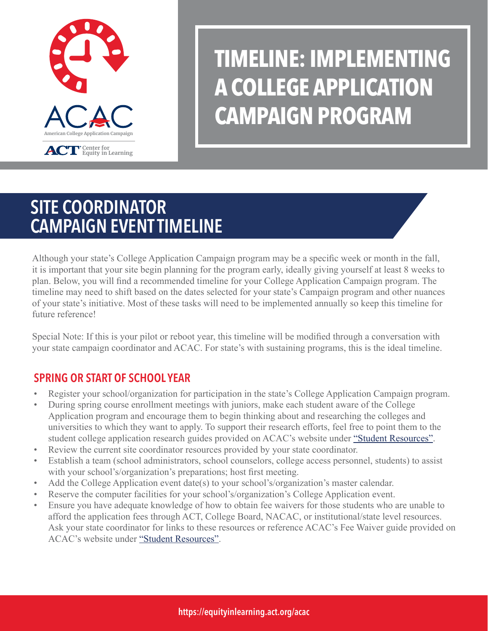

# **TIMELINE: IMPLEMENTING A COLLEGE APPLICATION CAMPAIGN PROGRAM**

# SITE COORDINATOR CAMPAIGN EVENT TIMELINE

Although your state's College Application Campaign program may be a specific week or month in the fall, it is important that your site begin planning for the program early, ideally giving yourself at least 8 weeks to plan. Below, you will find a recommended timeline for your College Application Campaign program. The timeline may need to shift based on the dates selected for your state's Campaign program and other nuances of your state's initiative. Most of these tasks will need to be implemented annually so keep this timeline for future reference!

Special Note: If this is your pilot or reboot year, this timeline will be modified through a conversation with your state campaign coordinator and ACAC. For state's with sustaining programs, this is the ideal timeline.

### SPRING OR START OF SCHOOL YEAR

- Register your school/organization for participation in the state's College Application Campaign program.
- During spring course enrollment meetings with juniors, make each student aware of the College Application program and encourage them to begin thinking about and researching the colleges and universities to which they want to apply. To support their research efforts, feel free to point them to the student college application research guides provided on ACAC's website under ["Student Resources"](https://equityinlearning.act.org/acac/resources/site-coordinator-materials/).
- Review the current site coordinator resources provided by your state coordinator.
- Establish a team (school administrators, school counselors, college access personnel, students) to assist with your school's/organization's preparations; host first meeting.
- Add the College Application event date(s) to your school's/organization's master calendar.
- Reserve the computer facilities for your school's/organization's College Application event.
- Ensure you have adequate knowledge of how to obtain fee waivers for those students who are unable to afford the application fees through ACT, College Board, NACAC, or institutional/state level resources. Ask your state coordinator for links to these resources or reference ACAC's Fee Waiver guide provided on ACAC's website under ["Student Resources"](https://equityinlearning.act.org/acac/resources/site-coordinator-materials/).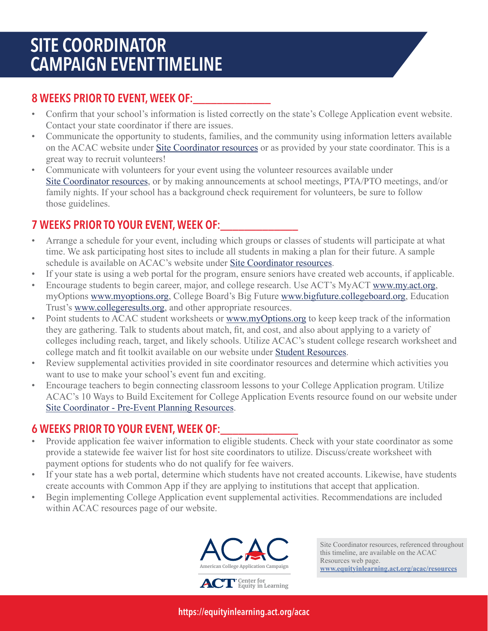# SITE COORDINATOR CAMPAIGN EVENT TIMELINE

### 8 WEEKS PRIOR TO EVENT, WEEK OF:

- Confirm that your school's information is listed correctly on the state's College Application event website. Contact your state coordinator if there are issues.
- Communicate the opportunity to students, families, and the community using information letters available on the ACAC website under [Site Coordinator resources o](https://equityinlearning.act.org/acac/resources/site-coordinator-materials/)r as provided by your state coordinator. This is a great way to recruit volunteers!
- Communicate with volunteers for your event using the volunteer resources available under [Site Coordinator resources,](https://equityinlearning.act.org/acac/resources/site-coordinator-materials/) or by making announcements at school meetings, PTA/PTO meetings, and/or family nights. If your school has a background check requirement for volunteers, be sure to follow those guidelines.

### 7 WEEKS PRIOR TO YOUR EVENT, WEEK OF:

- Arrange a schedule for your event, including which groups or classes of students will participate at what time. We ask participating host sites to include all students in making a plan for their future. A sample schedule is available on ACAC's website unde[r Site Coordinator resources](https://equityinlearning.act.org/acac/resources/site-coordinator-materials/).
- If your state is using a web portal for the program, ensure seniors have created web accounts, if applicable.
- Encourage students to begin career, major, and college research. Use ACT's MyACT www.my.act.org, myOptions www.myoptions.org, College Board's Big Future www.bigfuture.collegeboard.org, Education Trust's www.collegeresults.org, and other appropriate resources.
- Point students to ACAC student worksheets or www.myOptions.org to keep keep track of the information they are gathering. Talk to students about match, fit, and cost, and also about applying to a variety of colleges including reach, target, and likely schools. Utilize ACAC's student college research worksheet and college match and fit toolkit available on our website under [Student Resources](https://equityinlearning.act.org/acac/resources/site-coordinator-materials/).
- Review supplemental activities provided in site coordinator resources and determine which activities you want to use to make your school's event fun and exciting.
- Encourage teachers to begin connecting classroom lessons to your College Application program. Utilize ACAC's 10 Ways to Build Excitement for College Application Events resource found on our website under [Site Coordinator - Pre-Event Planning Resources](https://equityinlearning.act.org/acac/resources/site-coordinator-materials/).

### 6 WEEKS PRIOR TO YOUR EVENT, WEEK OF:\_\_\_\_\_\_\_\_\_\_\_\_\_

- Provide application fee waiver information to eligible students. Check with your state coordinator as some provide a statewide fee waiver list for host site coordinators to utilize. Discuss/create worksheet with payment options for students who do not qualify for fee waivers.
- If your state has a web portal, determine which students have not created accounts. Likewise, have students create accounts with Common App if they are applying to institutions that accept that application.
- Begin implementing College Application event supplemental activities. Recommendations are included within ACAC resources page of our website.



Site Coordinator resources, referenced throughout this timeline, are available on the ACAC Resources web page. **[www.equityinlearning.act.org/acac/resources](https://equityinlearning.act.org/acac/resources/)**

https://equityinlearning.act.org/acac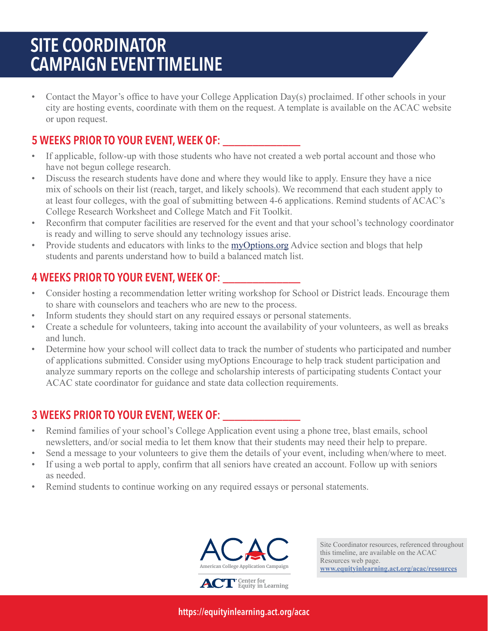# SITE COORDINATOR CAMPAIGN EVENT TIMELINE

• Contact the Mayor's office to have your College Application Day(s) proclaimed. If other schools in your city are hosting events, coordinate with them on the request. A template is available on the ACAC website or upon request.

### 5 WEEKS PRIOR TO YOUR EVENT, WEEK OF: \_\_\_\_\_\_\_\_\_\_\_\_\_

- If applicable, follow-up with those students who have not created a web portal account and those who have not begun college research.
- Discuss the research students have done and where they would like to apply. Ensure they have a nice mix of schools on their list (reach, target, and likely schools). We recommend that each student apply to at least four colleges, with the goal of submitting between 4-6 applications. Remind students of ACAC's College Research Worksheet and College Match and Fit Toolkit.
- Reconfirm that computer facilities are reserved for the event and that your school's technology coordinator is ready and willing to serve should any technology issues arise.
- Provide students and educators with links to th[e myOptions.org](https://myoptions.org) Advice section and blogs that help students and parents understand how to build a balanced match list.

### 4 WEEKS PRIOR TO YOUR EVENT, WEEK OF: \_\_\_\_\_\_\_\_\_\_\_\_\_

- Consider hosting a recommendation letter writing workshop for School or District leads. Encourage them to share with counselors and teachers who are new to the process.
- Inform students they should start on any required essays or personal statements.
- Create a schedule for volunteers, taking into account the availability of your volunteers, as well as breaks and lunch.
- Determine how your school will collect data to track the number of students who participated and number of applications submitted. Consider using myOptions Encourage to help track student participation and analyze summary reports on the college and scholarship interests of participating students Contact your ACAC state coordinator for guidance and state data collection requirements.

### 3 WEEKS PRIOR TO YOUR EVENT, WEEK OF: \_\_\_\_\_\_\_\_\_\_\_\_\_

- Remind families of your school's College Application event using a phone tree, blast emails, school newsletters, and/or social media to let them know that their students may need their help to prepare.
- Send a message to your volunteers to give them the details of your event, including when/where to meet.
- If using a web portal to apply, confirm that all seniors have created an account. Follow up with seniors as needed.
- Remind students to continue working on any required essays or personal statements.



Site Coordinator resources, referenced throughout this timeline, are available on the ACAC Resources web page. **[www.equityinlearning.act.org/acac/resources](https://equityinlearning.act.org/acac/resources/)**

https://equityinlearning.act.org/acac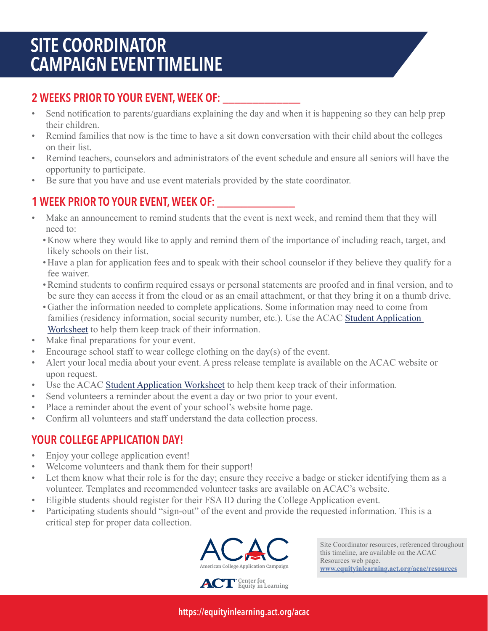## SITE COORDINATOR CAMPAIGN EVENT TIMELINE

### 2 WEEKS PRIOR TO YOUR EVENT, WEEK OF:

- Send notification to parents/guardians explaining the day and when it is happening so they can help prep their children.
- Remind families that now is the time to have a sit down conversation with their child about the colleges on their list.
- Remind teachers, counselors and administrators of the event schedule and ensure all seniors will have the opportunity to participate.
- Be sure that you have and use event materials provided by the state coordinator.

### 1 WEEK PRIOR TO YOUR EVENT, WEEK OF: \_\_\_\_\_\_\_\_\_\_\_\_\_

- Make an announcement to remind students that the event is next week, and remind them that they will need to:
	- Know where they would like to apply and remind them of the importance of including reach, target, and likely schools on their list.
	- Have a plan for application fees and to speak with their school counselor if they believe they qualify for a fee waiver.
	- •Remind students to confirm required essays or personal statements are proofed and in final version, and to be sure they can access it from the cloud or as an email attachment, or that they bring it on a thumb drive.
	- Gather the information needed to complete applications. Some information may need to come from families (residency information, social security number, etc.). Use the ACA[C Student Application](https://equityinlearning.act.org/acac/resources/site-coordinator-materials/)  [Worksheet t](https://equityinlearning.act.org/acac/resources/site-coordinator-materials/)o help them keep track of their information.
- Make final preparations for your event.
- Encourage school staff to wear college clothing on the day(s) of the event.
- Alert your local media about your event. A press release template is available on the ACAC website or upon request.
- Use the ACA[C Student Application Worksheet t](https://equityinlearning.act.org/acac/resources/site-coordinator-materials/)o help them keep track of their information.
- Send volunteers a reminder about the event a day or two prior to your event.
- Place a reminder about the event of your school's website home page.
- Confirm all volunteers and staff understand the data collection process.

### YOUR COLLEGE APPLICATION DAY!

- Enjoy your college application event!
- Welcome volunteers and thank them for their support!
- Let them know what their role is for the day; ensure they receive a badge or sticker identifying them as a volunteer. Templates and recommended volunteer tasks are available on ACAC's website.
- Eligible students should register for their FSA ID during the College Application event.
- Participating students should "sign-out" of the event and provide the requested information. This is a critical step for proper data collection.



Site Coordinator resources, referenced throughout this timeline, are available on the ACAC Resources web page. **[www.equityinlearning.act.org/acac/resources](https://equityinlearning.act.org/acac/resources/)**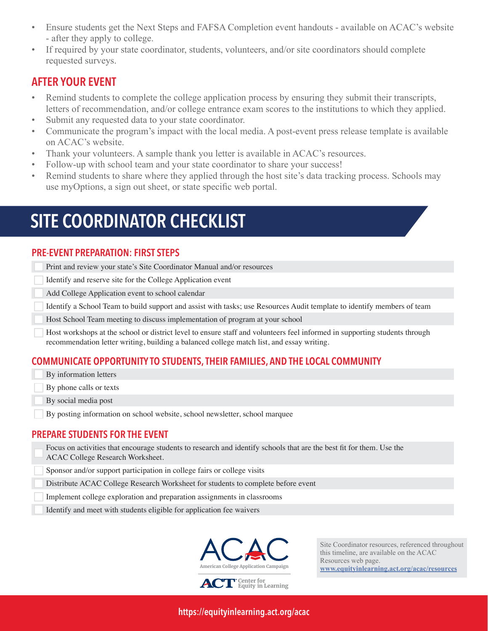- Ensure students get the Next Steps and FAFSA Completion event handouts available on ACAC's website - after they apply to college.
- If required by your state coordinator, students, volunteers, and/or site coordinators should complete requested surveys.

#### AFTER YOUR EVENT

- Remind students to complete the college application process by ensuring they submit their transcripts, letters of recommendation, and/or college entrance exam scores to the institutions to which they applied.
- Submit any requested data to your state coordinator.
- Communicate the program's impact with the local media. A post-event press release template is available on ACAC's website.
- Thank your volunteers. A sample thank you letter is available in ACAC's resources.
- Follow-up with school team and your state coordinator to share your success!
- Remind students to share where they applied through the host site's data tracking process. Schools may use myOptions, a sign out sheet, or state specific web portal.

# SITE COORDINATOR CHECKLIST

#### PRE-EVENT PREPARATION: FIRST STEPS

Print and review your state's Site Coordinator Manual and/or resources

Identify and reserve site for the College Application event

Add College Application event to school calendar

Identify a School Team to build support and assist with tasks; use Resources Audit template to identify members of team

Host School Team meeting to discuss implementation of program at your school

Host workshops at the school or district level to ensure staff and volunteers feel informed in supporting students through recommendation letter writing, building a balanced college match list, and essay writing.

#### COMMUNICATE OPPORTUNITY TO STUDENTS, THEIR FAMILIES, AND THE LOCAL COMMUNITY

By information letters

By phone calls or texts

By social media post

By posting information on school website, school newsletter, school marquee

#### PREPARE STUDENTS FOR THE EVENT

Focus on activities that encourage students to research and identify schools that are the best fit for them. Use the ACAC College Research Worksheet.

Sponsor and/or support participation in college fairs or college visits

Distribute ACAC College Research Worksheet for students to complete before event

Implement college exploration and preparation assignments in classrooms

Identify and meet with students eligible for application fee waivers



**Center for Equity in Learning**

Site Coordinator resources, referenced throughout this timeline, are available on the ACAC Resources web page. **[www.equityinlearning.act.org/acac/resources](https://equityinlearning.act.org/acac/resources/)**

https://equityinlearning.act.org/acac